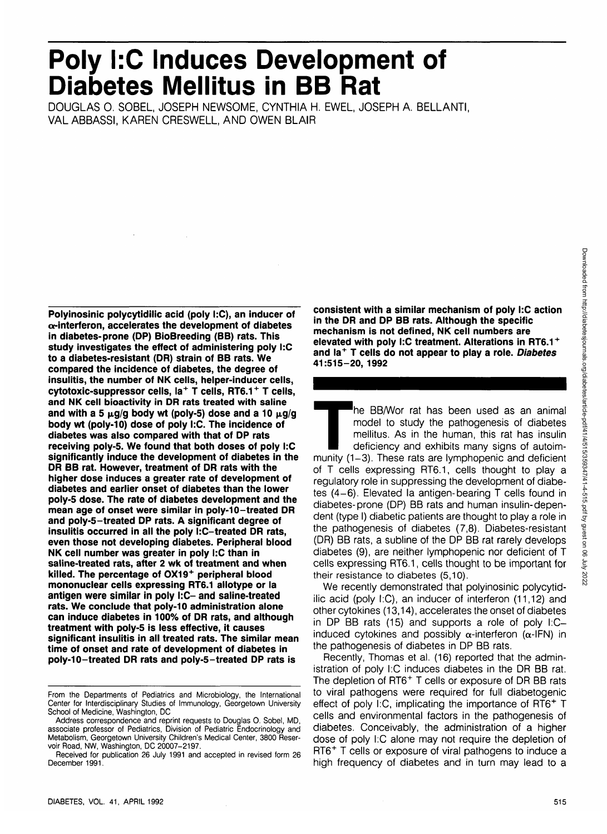# **Poly I:C Induces Development of Diabetes Mellitus in BB Rat**

DOUGLAS 0. SOBEL, JOSEPH NEWSOME, CYNTHIA H. EWEL, JOSEPH A. BELLANTI, VAL ABBASSI, KAREN CRESWELL, AND OWEN BLAIR

**Polyinosinic polycytidilic acid (poly I:C), an inducer of a-interferon, accelerates the development of diabetes in diabetes-prone (DP) BioBreeding (BB) rats. This study investigates the effect of administering poly I:C to a diabetes-resistant (DR) strain of BB rats. We compared the incidence of diabetes, the degree of insulitis, the number of NK cells, helper-inducer cells, cytotoxic-suppressor cells, la<sup>+</sup> T cells, RT6.1<sup>+</sup> T cells, and NK cell bioactivity in DR rats treated with saline** and with a 5  $\mu$ g/g body wt (poly-5) dose and a 10  $\mu$ g/g **body wt (poly-10) dose of poly I:C. The incidence of diabetes was also compared with that of DP rats receiving poly-5. We found that both doses of poly I:C significantly induce the development of diabetes in the DR BB rat. However, treatment of DR rats with the higher dose induces a greater rate of development of diabetes and earlier onset of diabetes than the lower poly-5 dose. The rate of diabetes development and the mean age of onset were similar in poly-10-treated DR and poly-5-treated DP rats. A significant degree of insulitis occurred in all the poly I:C-treated DR rats, even those not developing diabetes. Peripheral blood NK cell number was greater in poly I:C than in saline-treated rats, after 2 wk of treatment and when killed. The percentage of 0X19<sup>+</sup> peripheral blood mononuclear cells expressing RT6.1 allotype or la antigen were similar in poly I:C- and saline-treated rats. We conclude that poly-10 administration alone can induce diabetes in 100% of DR rats, and although treatment with poly-5 is less effective, it causes significant insulitis in all treated rats. The similar mean time of onset and rate of development of diabetes in poly-10-treated DR rats and poly-5-treated DP rats is**

**consistent with a similar mechanism of poly I:C action in the DR and DP BB rats. Although the specific mechanism is not defined, NK cell numbers are elevated with poly I:C treatment. Alterations in RT6.1 + and la<sup>+</sup> T cells do not appear to play a role. Diabetes 41:515-20, 1992**

The BB/Wor rat has been used as an animal<br>
model to study the pathogenesis of diabetes<br>
mellitus. As in the human, this rat has insulin<br>
deficiency and exhibits many signs of autoim-<br>
munity (1-3). These rats are lymphopen model to study the pathogenesis of diabetes mellitus. As in the human, this rat has insulin deficiency and exhibits many signs of autoimof T cells expressing RT6.1, cells thought to play a regulatory role in suppressing the development of diabetes (4-6). Elevated la antigen-bearing T cells found in diabetes-prone (DP) BB rats and human insulin-dependent (type I) diabetic patients are thought to play a role in the pathogenesis of diabetes (7,8). Diabetes-resistant (DR) BB rats, a subline of the DP BB rat rarely develops diabetes (9), are neither lymphopenic nor deficient of T cells expressing RT6.1, cells thought to be important for their resistance to diabetes (5,10).

We recently demonstrated that polyinosinic polycytidilic acid (poly I:C), an inducer of interferon (11,12) and other cytokines (13,14), accelerates the onset of diabetes in DP BB rats (15) and supports a role of poly I:Cinduced cytokines and possibly  $\alpha$ -interferon ( $\alpha$ -IFN) in the pathogenesis of diabetes in DP BB rats.

Recently, Thomas et al. (16) reported that the administration of poly I:C induces diabetes in the DR BB rat. The depletion of RT6<sup>+</sup> T cells or exposure of DR BB rats to viral pathogens were required for full diabetogenic effect of poly I.C, implicating the importance of RT6+ T cells and environmental factors in the pathogenesis of diabetes. Conceivably, the administration of a higher dose of poly I:C alone may not require the depletion of RT6+ T cells or exposure of viral pathogens to induce a high frequency of diabetes and in turn may lead to a

From the Departments of Pediatrics and Microbiology, the International Center for Interdisciplinary Studies of Immunology, Georgetown University School of Medicine, Washington, DC

Address correspondence and reprint requests to Douglas O. Sobel, MD, associate professor of Pediatrics, Division of Pediatric Endocrinology and Metabolism, Georgetown University Children's Medical Center, 3800 Reservoir Road, NW, Washington, DC 20007-2197.

Received for publication 26 July 1991 and accepted in revised form 26 December 1991.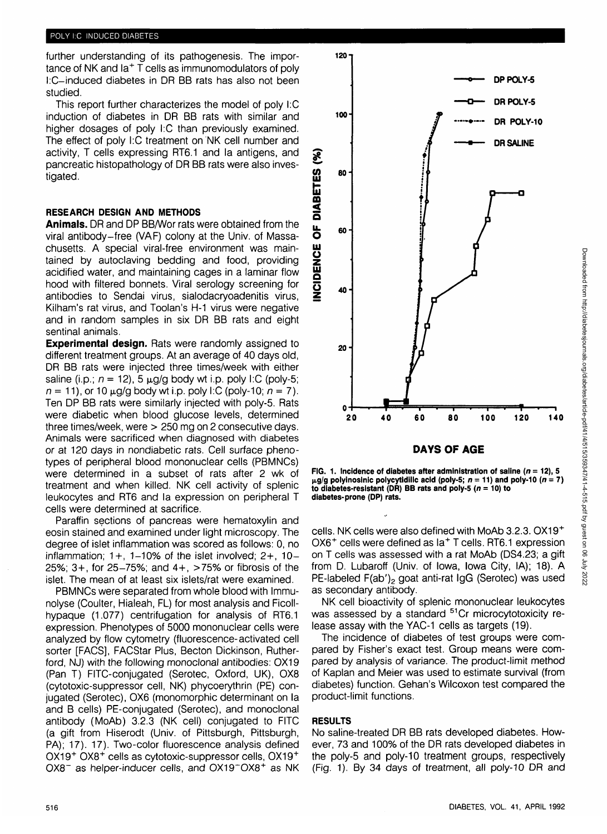further understanding of its pathogenesis. The importance of NK and la<sup>+</sup> T cells as immunomodulators of poly l:C-induced diabetes in DR BB rats has also not been studied.

This report further characterizes the model of poly I:C induction of diabetes in DR BB rats with similar and higher dosages of poly I:C than previously examined. The effect of poly I:C treatment on NK cell number and activity, T cells expressing RT6.1 and la antigens, and pancreatic histopathology of DR BB rats were also investigated.

## **RESEARCH DESIGN AND METHODS**

**Animals.** DR and DP BB/Wor rats were obtained from the viral antibody-free (VAF) colony at the Univ. of Massachusetts. A special viral-free environment was maintained by autoclaving bedding and food, providing acidified water, and maintaining cages in a laminar flow hood with filtered bonnets. Viral serology screening for antibodies to Sendai virus, sialodacryoadenitis virus, Kilham's rat virus, and Toolan's H-1 virus were negative and in random samples in six DR BB rats and eight sentinal animals.

**Experimental design.** Rats were randomly assigned to different treatment groups. At an average of 40 days old, DR BB rats were injected three times/week with either saline (i.p.;  $n = 12$ ), 5  $\mu$ g/g body wt i.p. poly I:C (poly-5;  $n = 11$ , or 10  $\mu$ g/g body wt i.p. poly I:C (poly-10;  $n = 7$ ). Ten DP BB rats were similarly injected with poly-5. Rats were diabetic when blood glucose levels, determined three times/week, were > 250 mg on 2 consecutive days. Animals were sacrificed when diagnosed with diabetes or at 120 days in nondiabetic rats. Cell surface phenotypes of peripheral blood mononuclear cells (PBMNCs) were determined in a subset of rats after 2 wk of treatment and when killed. NK cell activity of splenic leukocytes and RT6 and la expression on peripheral T cells were determined at sacrifice.

Paraffin sections of pancreas were hematoxylin and eosin stained and examined under light microscopy. The degree of islet inflammation was scored as follows: 0, no inflammation;  $1+$ ,  $1-10\%$  of the islet involved;  $2+$ ,  $10-$ 25%; 3+, for 25-75%; and 4+, >75% or fibrosis of the islet. The mean of at least six islets/rat were examined.

PBMNCs were separated from whole blood with Immunolyse (Coulter, Hialeah, FL) for most analysis and Ficollhypaque (1.077) centrifugation for analysis of RT6.1 expression. Phenotypes of 5000 mononuclear cells were analyzed by flow cytometry (fluorescence-activated cell sorter [FACS], FACStar Plus, Becton Dickinson, Rutherford, NJ) with the following monoclonal antibodies: OX19 (Pan T) FITC-conjugated (Serotec, Oxford, UK), OX8 (cytotoxic-suppressor cell, NK) phycoerythrin (PE) conjugated (Serotec), OX6 (monomorphic determinant on la and B cells) PE-conjugated (Serotec), and monoclonal antibody (MoAb) 3.2.3 (NK cell) conjugated to FITC (a gift from Hiserodt (Univ. of Pittsburgh, Pittsburgh, PA); 17). 17). Two-color fluorescence analysis defined OX19<sup>+</sup> OX8<sup>+</sup> cells as cytotoxic-suppressor cells, OX19<sup>+</sup> OX8<sup>-</sup> as helper-inducer cells, and OX19<sup>-</sup>OX8<sup>+</sup> as NK



**DAYS OF AGE**

**FIG. 1. Incidence of diabetes after administration of saline (** $n = 12$ **), 5 M-g/g polyinosinic polycytidilic acid (poly-5; n = 11) and poly-10 (n = 7) to diabetes-resistant (DR) BB rats and poly-5 (n = 10) to diabetes-prone (DP) rats.**

cells. NK cells were also defined with MoAb 3.2.3. OX19+ OX6<sup>+</sup> cells were defined as la<sup>+</sup> T cells. RT6.1 expression on T cells was assessed with a rat MoAb (DS4.23; a gift from D. Lubaroff (Univ. of Iowa, Iowa City, IA); 18). A PE-labeled F(ab')<sub>2</sub> goat anti-rat IgG (Serotec) was used as secondary antibody.

NK cell bioactivity of splenic mononuclear leukocytes was assessed by a standard <sup>51</sup>Cr microcytotoxicity release assay with the YAC-1 cells as targets (19).

The incidence of diabetes of test groups were compared by Fisher's exact test. Group means were compared by analysis of variance. The product-limit method of Kaplan and Meier was used to estimate survival (from diabetes) function. Gehan's Wilcoxon test compared the product-limit functions.

### **RESULTS**

No saline-treated DR BB rats developed diabetes. However, 73 and 100% of the DR rats developed diabetes in the poly-5 and poly-10 treatment groups, respectively (Fig. 1). By 34 days of treatment, all poly-10 DR and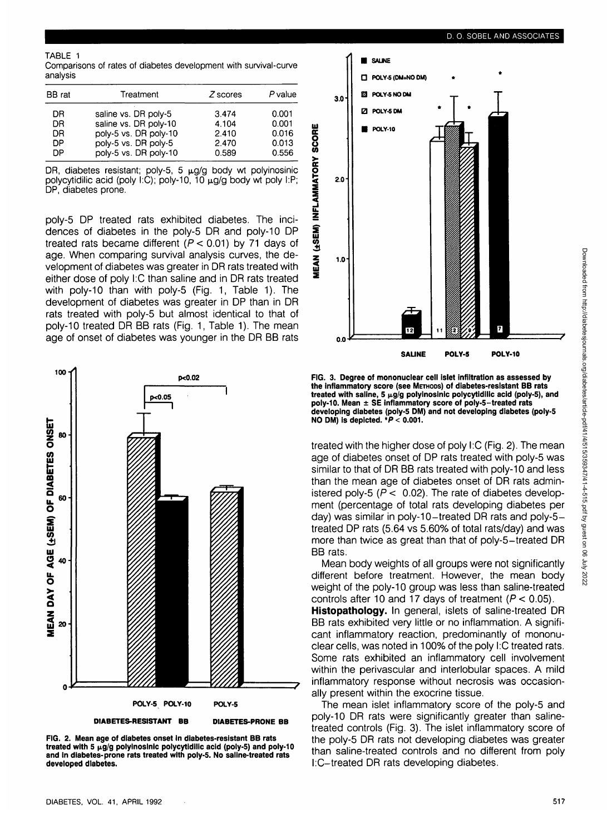#### TABLE 1

Comparisons of rates of diabetes development with survival-curve analysis

| BB rat | Treatment             | Z scores | P value |
|--------|-----------------------|----------|---------|
| DR     | saline vs. DR poly-5  | 3.474    | 0.001   |
| DR     | saline vs. DR poly-10 | 4.104    | 0.001   |
| DR     | poly-5 vs. DR poly-10 | 2.410    | 0.016   |
| DΡ     | poly-5 vs. DR poly-5  | 2.470    | 0.013   |
| DΡ     | poly-5 vs. DR poly-10 | 0.589    | 0.556   |

DR, diabetes resistant; poly-5, 5  $\mu$ g/g body wt polyinosinic polycytidilic acid (poly I:C); poly-10, 10  $\mu$ g/g body wt poly I:P; DP, diabetes prone.

poly-5 DP treated rats exhibited diabetes. The incidences of diabetes in the poly-5 DR and poly-10 DP treated rats became different  $(P < 0.01)$  by 71 days of age. When comparing survival analysis curves, the development of diabetes was greater in DR rats treated with either dose of poly I:C than saline and in DR rats treated with poly-10 than with poly-5 (Fig. 1, Table 1). The development of diabetes was greater in DP than in DR rats treated with poly-5 but almost identical to that of poly-10 treated DR BB rats (Fig. 1, Table 1). The mean age of onset of diabetes was younger in the DR BB rats



**FIG. 2. Mean age of diabetes onset in diabetes-resistant BB rats** treated with 5 µg/g polyinosinic polycytidilic acid (poly-5) and poly-10 **and In diabetes-prone rats treated with poly-5. No saline-treated rats developed diabetes.**



**FIG. 3. Degree of mononuclear cell islet infiltration as assessed by the inflammatory score (see METHODS) of diabetes-resistant BB rats** treated with saline, 5 µg/g polyinosinic polycytidilic acid (poly-5), and **poly-10. Mean ± SE inflammatory score of poly-5-treated rats developing diabetes (poly-5 DM) and not developing diabetes (poly-5 NO DM) is depicted. \*P < 0.001.**

treated with the higher dose of poly I:C (Fig. 2). The mean age of diabetes onset of DP rats treated with poly-5 was similar to that of DR BB rats treated with poly-10 and less than the mean age of diabetes onset of DR rats administered poly-5 ( $P < 0.02$ ). The rate of diabetes development (percentage of total rats developing diabetes per day) was similar in poly-10-treated DR rats and poly-5 treated DP rats (5.64 vs 5.60% of total rats/day) and was more than twice as great than that of poly-5-treated DR BB rats.

Mean body weights of all groups were not significantly different before treatment. However, the mean body weight of the poly-10 group was less than saline-treated controls after 10 and 17 days of treatment ( $P < 0.05$ ). **Histopathology.** In general, islets of saline-treated DR BB rats exhibited very little or no inflammation. A significant inflammatory reaction, predominantly of mononuclear cells, was noted in 100% of the poly I:C treated rats. Some rats exhibited an inflammatory cell involvement within the perivascular and interlobular spaces. A mild inflammatory response without necrosis was occasion-

ally present within the exocrine tissue. The mean islet inflammatory score of the poly-5 and poly-10 DR rats were significantly greater than salinetreated controls (Fig. 3). The islet inflammatory score of the poly-5 DR rats not developing diabetes was greater than saline-treated controls and no different from poly I:C-treated DR rats developing diabetes.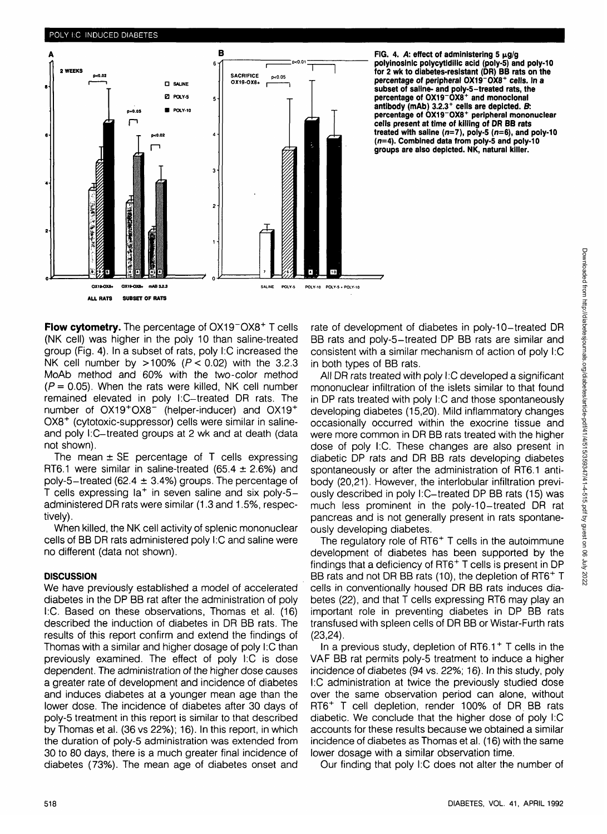

FIG. 4. A: effect of administering  $5 \mu g/g$ **polyinosinic polycytidilic acid (poly-5) and poly-10 for 2 wk to diabetes-resistant (DR) BB rats on the percentage of peripheral OX19~OX8<sup>+</sup> cells. In a subset of saline- and poly-5-treated rats, the percentage of OX19~OX8<sup>+</sup> and monoclonal** antibody (mAb) 3.2.3<sup>+</sup> cells are depicted. B: **percentage of 0X19"0X8 <sup>+</sup> peripheral mononuclear cells present at time of killing of DR BB rats treated with saline (n=7), poly-5 (n=6), and poly-10 (n=4). Combined data from poly-5 and poly-10 groups are also depicted. NK, natural killer.**

Flow cytometry. The percentage of OX19<sup>-</sup>OX8<sup>+</sup> T cells (NK cell) was higher in the poly 10 than saline-treated group (Fig. 4). In a subset of rats, poly I:C increased the NK cell number by  $>100\%$  ( $P < 0.02$ ) with the 3.2.3 MoAb method and 60% with the two-color method  $(P = 0.05)$ . When the rats were killed, NK cell number remained elevated in poly l:C-treated DR rats. The number of OX19<sup>+</sup>OX8<sup>-</sup> (helper-inducer) and OX19<sup>+</sup> OX8<sup>+</sup> (cytotoxic-suppressor) cells were similar in salineand poly I:C-treated groups at 2 wk and at death (data not shown).

The mean  $\pm$  SE percentage of T cells expressing RT6.1 were similar in saline-treated (65.4  $\pm$  2.6%) and poly-5-treated (62.4  $\pm$  3.4%) groups. The percentage of T cells expressing la<sup>+</sup> in seven saline and six poly-5 administered DR rats were similar (1.3 and 1.5%, respectively).

When killed, the NK cell activity of splenic mononuclear cells of BB DR rats administered poly I:C and saline were no different (data not shown).

### **DISCUSSION**

We have previously established a model of accelerated diabetes in the DP BB rat after the administration of poly I:C. Based on these observations, Thomas et al. (16) described the induction of diabetes in DR BB rats. The results of this report confirm and extend the findings of Thomas with a similar and higher dosage of poly I:C than previously examined. The effect of poly I:C is dose dependent. The administration of the higher dose causes a greater rate of development and incidence of diabetes and induces diabetes at a younger mean age than the lower dose. The incidence of diabetes after 30 days of poly-5 treatment in this report is similar to that described by Thomas et al. (36 vs 22%); 16). In this report, in which the duration of poly-5 administration was extended from 30 to 80 days, there is a much greater final incidence of diabetes (73%). The mean age of diabetes onset and

rate of development of diabetes in poly-10-treated DR BB rats and poly-5-treated DP BB rats are similar and consistent with a similar mechanism of action of poly I:C in both types of BB rats.

All DR rats treated with poly I:C developed a significant mononuclear infiltration of the islets similar to that found in DP rats treated with poly I:C and those spontaneously developing diabetes (15,20). Mild inflammatory changes occasionally occurred within the exocrine tissue and were more common in DR BB rats treated with the higher dose of poly I:C. These changes are also present in diabetic DP rats and DR BB rats developing diabetes spontaneously or after the administration of RT6.1 antibody (20,21). However, the interlobular infiltration previously described in poly l:C-treated DP BB rats (15) was much less prominent in the poly-10-treated DR rat pancreas and is not generally present in rats spontaneously developing diabetes.

The regulatory role of RT6<sup>+</sup> T cells in the autoimmune development of diabetes has been supported by the findings that a deficiency of RT6<sup>+</sup> T cells is present in DP BB rats and not DR BB rats (10), the depletion of RT6<sup>+</sup> T cells in conventionally housed DR BB rats induces diabetes (22), and that T cells expressing RT6 may play an important role in preventing diabetes in DP BB rats transfused with spleen cells of DR BB or Wistar-Furth rats (23,24).

In a previous study, depletion of RT6.1<sup>+</sup> T cells in the VAF BB rat permits poly-5 treatment to induce a higher incidence of diabetes (94 vs. 22%; 16). In this study, poly I:C administration at twice the previously studied dose over the same observation period can alone, without RT6+ T cell depletion, render 100% of DR. BB rats diabetic. We conclude that the higher dose of poly I:C accounts for these results because we obtained a similar incidence of diabetes as Thomas et al. (16) with the same lower dosage with a similar observation time.

Our finding that poly I:C does not alter the number of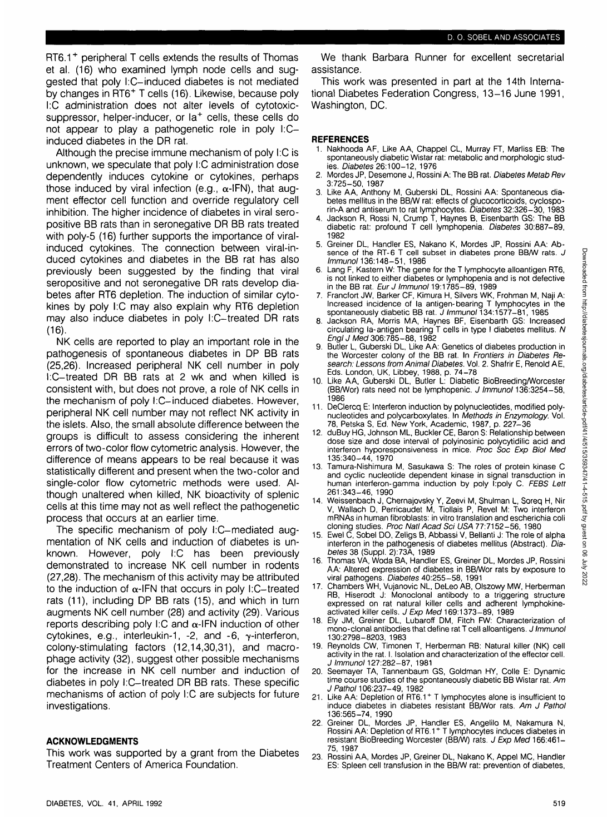RT6.1<sup>+</sup> peripheral T cells extends the results of Thomas et al. (16) who examined lymph node cells and suggested that poly l:C-induced diabetes is not mediated by changes in RT6+ T cells (16). Likewise, because poly I:C administration does not alter levels of cytotoxicsuppressor, helper-inducer, or la<sup>+</sup> cells, these cells do not appear to play a pathogenetic role in poly I:Cinduced diabetes in the DR rat.

Although the precise immune mechanism of poly I:C is unknown, we speculate that poly I:C administration dose dependently induces cytokine or cytokines, perhaps those induced by viral infection (e.g.,  $\alpha$ -IFN), that augment effector cell function and override regulatory cell inhibition. The higher incidence of diabetes in viral seropositive BB rats than in seronegative DR BB rats treated with poly-5 (16) further supports the importance of viralinduced cytokines. The connection between viral-induced cytokines and diabetes in the BB rat has also previously been suggested by the finding that viral seropositive and not seronegative DR rats develop diabetes after RT6 depletion. The induction of similar cytokines by poly I:C may also explain why RT6 depletion may also induce diabetes in poly l:C-treated DR rats (16).

NK cells are reported to play an important role in the pathogenesis of spontaneous diabetes in DP BB rats (25,26). Increased peripheral NK cell number in poly I:C-treated DR BB rats at 2 wk and when killed is consistent with, but does not prove, a role of NK cells in the mechanism of poly I:C-induced diabetes. However, peripheral NK cell number may not reflect NK activity in the islets. Also, the small absolute difference between the groups is difficult to assess considering the inherent errors of two-color flow cytometric analysis. However, the difference of means appears to be real because it was statistically different and present when the two-color and single-color flow cytometric methods were used. Although unaltered when killed, NK bioactivity of splenic cells at this time may not as well reflect the pathogenetic process that occurs at an earlier time.

The specific mechanism of poly l:C-mediated augmentation of NK cells and induction of diabetes is unknown. However, poly I:C has been previously demonstrated to increase NK cell number in rodents (27,28). The mechanism of this activity may be attributed to the induction of  $\alpha$ -IFN that occurs in poly I:C-treated rats (11), including DP BB rats (15), and which in turn augments NK cell number (28) and activity (29). Various reports describing poly I:C and  $\alpha$ -IFN induction of other cytokines, e.g., interleukin-1, -2, and  $-6$ ,  $\gamma$ -interferon, colony-stimulating factors (12,14,30,31), and macrophage activity (32), suggest other possible mechanisms for the increase in NK cell number and induction of diabetes in poly l:C-treated DR BB rats. These specific mechanisms of action of poly I:C are subjects for future investigations.

### **ACKNOWLEDGMENTS**

This work was supported by a grant from the Diabetes Treatment Centers of America Foundation.

This work was presented in part at the 14th International Diabetes Federation Congress, 13-16 June 1991, Washington, DC.

## **REFERENCES**

- 1. Nakhooda AF, Like AA, Chappel CL, Murray FT, Marliss EB: The spontaneously diabetic Wistar rat: metabolic and morphologic studies. Diabetes 26:100-12, 1976
- 2. Mordes JP, Desemone J, Rossini A: The BB rat. Diabetes Metab Rev 3:725-50, 1987
- 3. Like AA, Anthony M, Guberski DL, Rossini AA: Spontaneous diabetes mellitus in the BB/W rat: effects of glucocorticoids, cyclosporin-A and antiserum to rat lymphocytes. Diabetes 32:326-30, 1983
- 4. Jackson R, Rossi N, Crump T, Haynes B, Eisenbarth GS: The BB diabetic rat: profound T cell lymphopenia. Diabetes 30:887-89, 1982
- 5. Greiner DL, Handler ES, Nakano K, Mordes JP, Rossini AA: Absence of the RT-6 T cell subset in diabetes prone BB/W rats. J Immunol 136:148-51, 1986
- 6. Lang F, Kastern W: The gene for the T lymphocyte alloantigen RT6, is not linked to either diabetes or lymphopenia and is not defective in the BB rat. Eur J Immunol 19:1785-89, 1989
- 7. Francfort JW, Barker CF, Kimura H, Silvers WK, Frohman M, Naji A: Increased incidence of la antigen-bearing T lymphocytes in the spontaneously diabetic BB rat. J Immunol 134:1577-81, 1985
- 8. Jackson RA, Morris MA, Haynes BF, Eisenbarth GS: Increased circulating la-antigen bearing T cells in type I diabetes mellitus. N Engl J Med 306:785-88, 1982
- 9. Butler L, Guberski DL, Like AA: Genetics of diabetes production in the Worcester colony of the BB rat. In Frontiers in Diabetes Research: Lessons from Animal Diabetes. Vol. 2. Shafrir E, Renold AE, Eds. London, UK, Libbey, 1988, p. 74-78
- 10. Like AA, Guberski DL, Butler L: Diabetic BioBreeding/Worcester (BB/Wor) rats need not be lymphopenic. J Immunol 136:3254-58, 1986
- 11. DeClercq E: Interferon induction by polynucleotides, modified polynucleotides and polycarboxylates. In Methods in Enzymology. Vol. 78, Petska S, Ed. New York, Academic, 1987, p. 227-36
- 12. duBuy HG, Johnson ML, Buckler CE, Baron S: Relationship between dose size and dose interval of polyinosinic polycytidilic acid and interferon hyporesponsiveness in mice. Proc Soc Exp Biol Med 135:340-44, 1970
- 13. Tamura-Nishimura M, Sasukawa S: The roles of protein kinase C and cyclic nucleotide dependent kinase in signal transduction in human interferon-gamma induction by poly l:poly C. FEBS Lett 261:343-46, 1990
- 14. Weissenbach J, Chernajovsky Y, Zeevi M, Shulman L, Soreq H, Nir V, Wallach D, Perricaudet M, Tiollais P, Revel M: Two interferon mRNAs in human fibroblasts: in vitro translation and escherichia coli cloning studies. Proc Natl Acad Sci USA 77:7152-56, 1980
- 15. Ewel C, Sobel DO, Zeligs B, Abbassi V, Bellanti J: The role of alpha interferon in the pathogenesis of diabetes mellitus (Abstract). Diabetes 38 (Suppl. 2):73A, 1989
- 16. Thomas VA, Woda BA, Handler ES, Greiner DL, Mordes JP, Rossini AA: Altered expression of diabetes in BB/Wor rats by exposure to viral pathogens. Diabetes 40:255-58, 1991
- 17. Chambers WH, Vujanovic NL, DeLeo AB, Olszowy MW, Herberman RB, Hiserodt J: Monoclonal antibody to a triggering structure expressed on rat natural killer cells and adherent lymphokineactivated killer cells. J Exp Med 169:1373-89, 1989
- 18. Ely JM, Greiner DL, Lubaroff DM, Fitch FW: Characterization of mono-clonal antibodies that define rat T cell alloantigens. J Immunol 130:2798-8203, 1983
- 19. Reynolds CW, Timonen T, Herberman RB: Natural killer (NK) cell activity in the rat. I. Isolation and characterization of the effector cell. J Immunol 127:282-87, 1981
- 20. Seemayer TA, Tannenbaum GS, Goldman HY, Colle E: Dynamic time course studies of the spontaneously diabetic BB Wistar rat. Am JPathol 106:237-49, 1982
- 21. Like AA: Depletion of RT6.1<sup>+</sup> T lymphocytes alone is insufficient to induce diabetes in diabetes resistant BB/Wor rats. Am J Pathol 136:565-74, 1990
- 22. Greiner DL, Mordes JP, Handler ES, Angelilo M, Nakamura N, Rossini AA: Depletion of RT6.1<sup>+</sup> T lymphocytes induces diabetes in resistant BioBreeding Worcester (BB/W) rats. J Exp Med 166:461-75, 1987
- 23. Rossini AA, Mordes JP, Greiner DL, Nakano K, Appel MC, Handler ES: Spleen cell transfusion in the BB/W rat: prevention of diabetes,